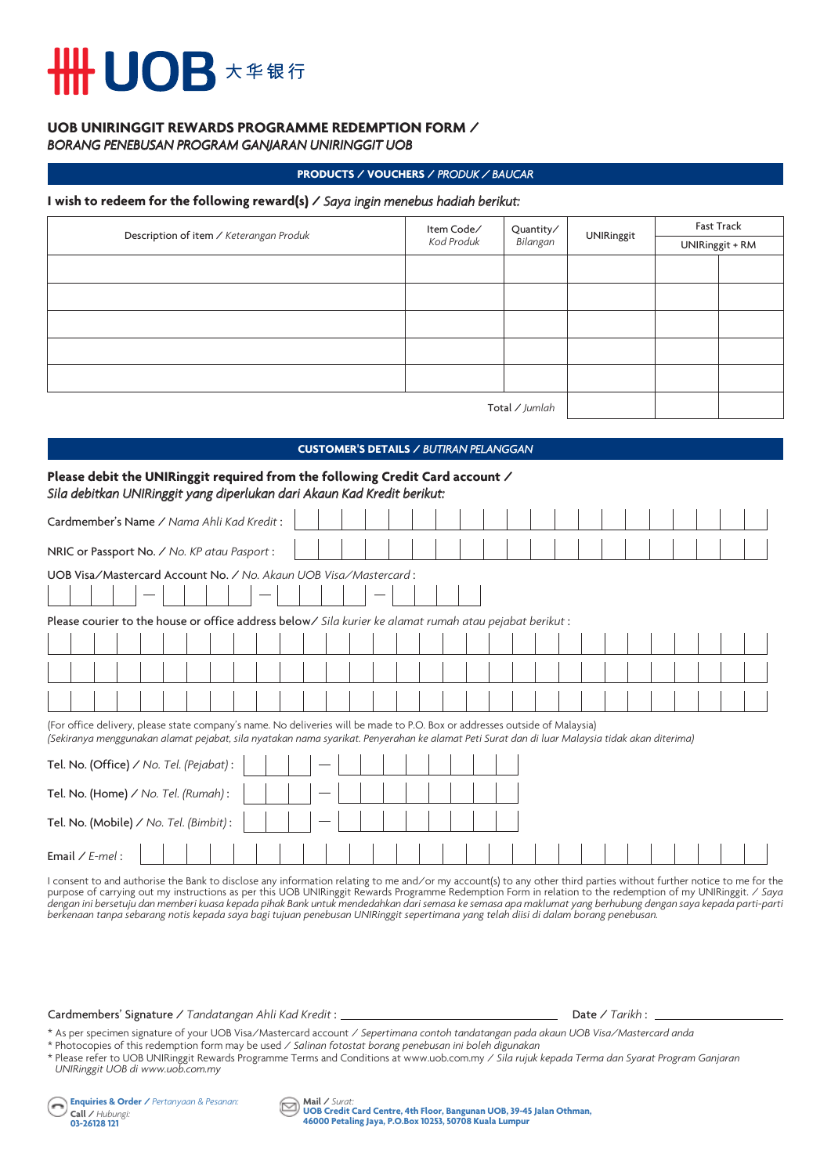## **UOB** 大华银行

#### **UOB UNIRINGGIT REWARDS PROGRAMME REDEMPTION FORM /**  *BORANG PENEBUSAN PROGRAM GANJARAN UNIRINGGIT UOB*

#### **PRODUCTS / VOUCHERS /** *PRODUK / BAUCAR*

#### **I wish to redeem for the following reward(s) /** *Saya ingin menebus hadiah berikut:*

| Description of item / Keterangan Produk | Item Code/<br>Kod Produk | Quantity/<br>Bilangan | <b>UNIRinggit</b> | <b>Fast Track</b> |                 |
|-----------------------------------------|--------------------------|-----------------------|-------------------|-------------------|-----------------|
|                                         |                          |                       |                   |                   | UNIRinggit + RM |
|                                         |                          |                       |                   |                   |                 |
|                                         |                          |                       |                   |                   |                 |
|                                         |                          |                       |                   |                   |                 |
|                                         |                          |                       |                   |                   |                 |
|                                         |                          |                       |                   |                   |                 |
| Total / Jumlah                          |                          |                       |                   |                   |                 |

#### **CUSTOMER'S DETAILS /** *BUTIRAN PELANGGAN*

| Please debit the UNIRinggit required from the following Credit Card account /<br>Sila debitkan UNIRinggit yang diperlukan dari Akaun Kad Kredit berikut:                                                                                                                     |
|------------------------------------------------------------------------------------------------------------------------------------------------------------------------------------------------------------------------------------------------------------------------------|
| Cardmember's Name / Nama Ahli Kad Kredit:                                                                                                                                                                                                                                    |
| NRIC or Passport No. / No. KP atau Pasport:                                                                                                                                                                                                                                  |
| UOB Visa/Mastercard Account No. / No. Akaun UOB Visa/Mastercard:<br>Please courier to the house or office address below $\ell$ sila kurier ke alamat rumah atau pejabat berikut:                                                                                             |
|                                                                                                                                                                                                                                                                              |
|                                                                                                                                                                                                                                                                              |
|                                                                                                                                                                                                                                                                              |
| (For office delivery, please state company's name. No deliveries will be made to P.O. Box or addresses outside of Malaysia)<br>(Sekiranya menggunakan alamat pejabat, sila nyatakan nama syarikat. Penyerahan ke alamat Peti Surat dan di luar Malaysia tidak akan diterima) |
| Tel. No. (Office) / No. Tel. (Pejabat):                                                                                                                                                                                                                                      |
| Tel. No. (Home) / No. Tel. (Rumah):                                                                                                                                                                                                                                          |
| Tel. No. (Mobile) / No. Tel. (Bimbit):                                                                                                                                                                                                                                       |
| Email / $E$ -mel:                                                                                                                                                                                                                                                            |

I consent to and authorise the Bank to disclose any information relating to me and∕or my account(s) to any other third parties without further notice to me for the<br>purpose of carrying out my instructions as per this UOB U *dengan ini bersetuju dan memberi kuasa kepada pihak Bank untuk mendedahkan dari semasa ke semasa apa maklumat yang berhubung dengan saya kepada parti-parti berkenaan tanpa sebarang notis kepada saya bagi tujuan penebusan UNIRinggit sepertimana yang telah diisi di dalam borang penebusan.*

#### Cardmembers' Signature / *Tandatangan Ahli Kad Kredit* : <u>Date / *Tarikh* : Date / *Tarikh* : Date / *Tarikh* : Date / *Tarikh* : Date / *Tarikh* : Date / *Tarikh* : Date / *Tarikh* : Date / *Tarikh* : Date / *Tarikh* : Da</u>

\* As per specimen signature of your UOB Visa/Mastercard account / *Sepertimana contoh tandatangan pada akaun UOB Visa/Mastercard anda* \* Photocopies of this redemption form may be used / *Salinan fotostat borang penebusan ini boleh digunakan*

\* Please refer to UOB UNIRinggit Rewards Programme Terms and Conditions at www.uob.com.my / *Sila rujuk kepada Terma dan Syarat Program Ganjaran UNIRinggit UOB di www.uob.com.my*

**Enquiries & Order /** *Pertanyaan & Pesanan:* **Call /** *Hubungi:*  **03-26128 121**

**Mail /** *Surat:* **UOB Credit Card Centre, 4th Floor, Bangunan UOB, 39-45 Jalan Othman, 46000 Petaling Jaya, P.O.Box 10253, 50708 Kuala Lumpur**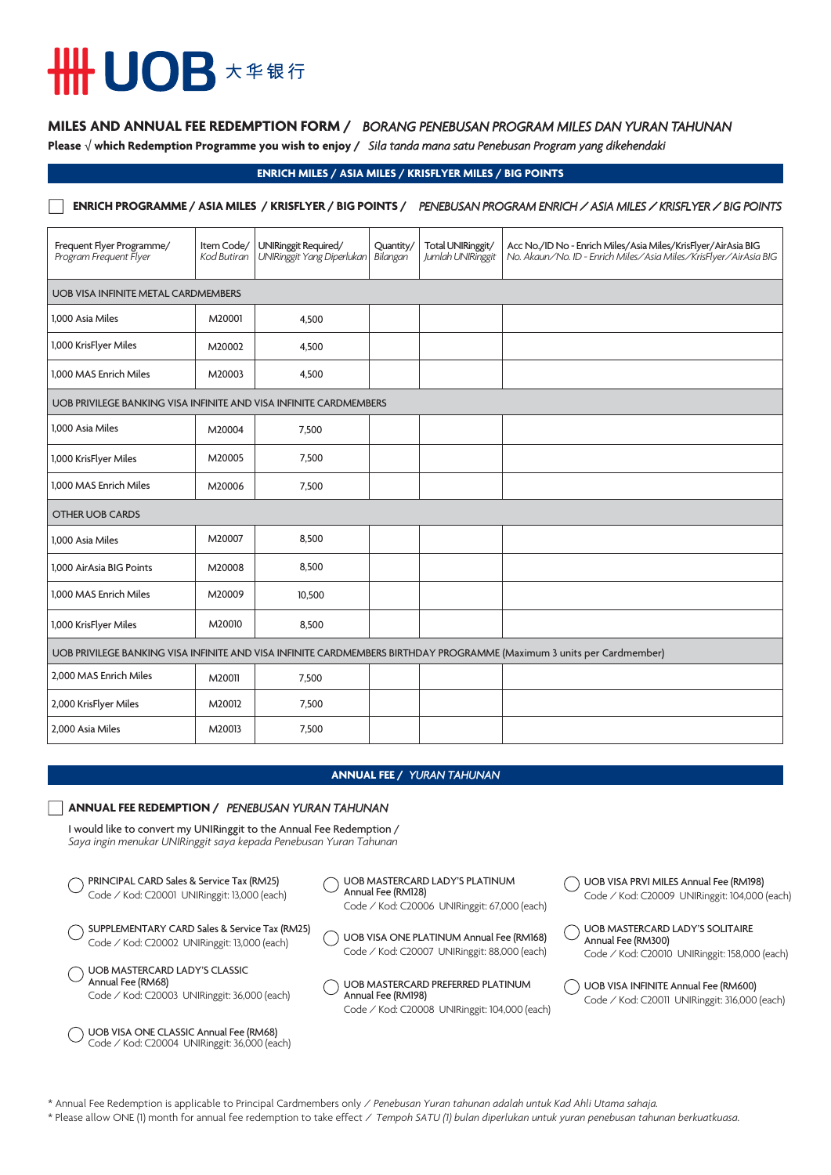## **HHUOB \*\*\*\***

### **MILES AND ANNUAL FEE REDEMPTION FORM /** *BORANG PENEBUSAN PROGRAM MILES DAN YURAN TAHUNAN*

**Please** √ **which Redemption Programme you wish to enjoy /** *Sila tanda mana satu Penebusan Program yang dikehendaki*

#### **ENRICH MILES / ASIA MILES / KRISFLYER MILES / BIG POINTS**

### **ENRICH PROGRAMME / ASIA MILES / KRISFLYER / BIG POINTS /** *PENEBUSAN PROGRAM ENRICH / ASIA MILES / KRISFLYER / BIG POINTS*

| Frequent Flyer Programme/<br>Program Frequent Flyer                                                                   | Item Code/<br>Kod Butiran | UNIRinggit Required/<br>UNIRinggit Yang Diperlukan | Quantity/<br>Bilangan | Total UNIRinggit/<br>Jumlah UNIRinggit | Acc No./ID No - Enrich Miles/Asia Miles/KrisFlyer/AirAsia BIG<br>No. Akaun/No. ID - Enrich Miles/Asia Miles/KrisFlyer/AirAsia BIG |  |
|-----------------------------------------------------------------------------------------------------------------------|---------------------------|----------------------------------------------------|-----------------------|----------------------------------------|-----------------------------------------------------------------------------------------------------------------------------------|--|
| <b>UOB VISA INFINITE METAL CARDMEMBERS</b>                                                                            |                           |                                                    |                       |                                        |                                                                                                                                   |  |
| 1.000 Asia Miles                                                                                                      | M20001                    | 4,500                                              |                       |                                        |                                                                                                                                   |  |
| 1,000 KrisFlyer Miles                                                                                                 | M20002                    | 4,500                                              |                       |                                        |                                                                                                                                   |  |
| 1.000 MAS Enrich Miles                                                                                                | M20003                    | 4,500                                              |                       |                                        |                                                                                                                                   |  |
| UOB PRIVILEGE BANKING VISA INFINITE AND VISA INFINITE CARDMEMBERS                                                     |                           |                                                    |                       |                                        |                                                                                                                                   |  |
| 1,000 Asia Miles                                                                                                      | M20004                    | 7,500                                              |                       |                                        |                                                                                                                                   |  |
| 1,000 KrisFlyer Miles                                                                                                 | M20005                    | 7,500                                              |                       |                                        |                                                                                                                                   |  |
| 1,000 MAS Enrich Miles                                                                                                | M20006                    | 7,500                                              |                       |                                        |                                                                                                                                   |  |
| <b>OTHER UOB CARDS</b>                                                                                                |                           |                                                    |                       |                                        |                                                                                                                                   |  |
| 1.000 Asia Miles                                                                                                      | M20007                    | 8,500                                              |                       |                                        |                                                                                                                                   |  |
| 1.000 AirAsia BIG Points                                                                                              | M20008                    | 8,500                                              |                       |                                        |                                                                                                                                   |  |
| 1.000 MAS Enrich Miles                                                                                                | M20009                    | 10,500                                             |                       |                                        |                                                                                                                                   |  |
| 1,000 KrisFlyer Miles                                                                                                 | M20010                    | 8,500                                              |                       |                                        |                                                                                                                                   |  |
| UOB PRIVILEGE BANKING VISA INFINITE AND VISA INFINITE CARDMEMBERS BIRTHDAY PROGRAMME (Maximum 3 units per Cardmember) |                           |                                                    |                       |                                        |                                                                                                                                   |  |
| 2,000 MAS Enrich Miles                                                                                                | M20011                    | 7,500                                              |                       |                                        |                                                                                                                                   |  |
| 2,000 KrisFlyer Miles                                                                                                 | M20012                    | 7,500                                              |                       |                                        |                                                                                                                                   |  |
| 2,000 Asia Miles                                                                                                      | M20013                    | 7,500                                              |                       |                                        |                                                                                                                                   |  |

#### **ANNUAL FEE /** *YURAN TAHUNAN*

#### **ANNUAL FEE REDEMPTION /** *PENEBUSAN YURAN TAHUNAN*

I would like to convert my UNIRinggit to the Annual Fee Redemption / *Saya ingin menukar UNIRinggit saya kepada Penebusan Yuran Tahunan*

| PRINCIPAL CARD Sales & Service Tax (RM25)<br>Code / Kod: C20001 UNIRinggit: 13,000 (each)                 | UOB MASTERCARD LADY'S PLATINUM<br>Annual Fee (RM128)<br>Code / Kod: C20006 UNIRinggit: 67,000 (each)     | UOB VISA PRVI MILES Annual Fee (RM198)<br>Code / Kod: C20009 UNIRinggit: 104,000 (each)                |
|-----------------------------------------------------------------------------------------------------------|----------------------------------------------------------------------------------------------------------|--------------------------------------------------------------------------------------------------------|
| SUPPLEMENTARY CARD Sales & Service Tax (RM25)<br>Code / Kod: C20002 UNIRinggit: 13,000 (each)             | UOB VISA ONE PLATINUM Annual Fee (RM168)<br>Code / Kod: C20007 UNIRinggit: 88,000 (each)                 | UOB MASTERCARD LADY'S SOLITAIRE<br>Annual Fee (RM300)<br>Code / Kod: C20010 UNIRinggit: 158,000 (each) |
| <b>UOB MASTERCARD LADY'S CLASSIC</b><br>Annual Fee (RM68)<br>Code / Kod: C20003 UNIRinggit: 36,000 (each) | UOB MASTERCARD PREFERRED PLATINUM<br>Annual Fee (RM198)<br>Code / Kod: C20008 UNIRinggit: 104,000 (each) | UOB VISA INFINITE Annual Fee (RM600)<br>Code / Kod: C20011 UNIRinggit: 316,000 (each)                  |
| UOB VISA ONE CLASSIC Annual Fee (RM68)<br>Code / Kod: C20004 UNIRinggit: 36,000 (each)                    |                                                                                                          |                                                                                                        |

\* Annual Fee Redemption is applicable to Principal Cardmembers only / *Penebusan Yuran tahunan adalah untuk Kad Ahli Utama sahaja.*

\* Please allow ONE (1) month for annual fee redemption to take effect / *Tempoh SATU (1) bulan diperlukan untuk yuran penebusan tahunan berkuatkuasa.*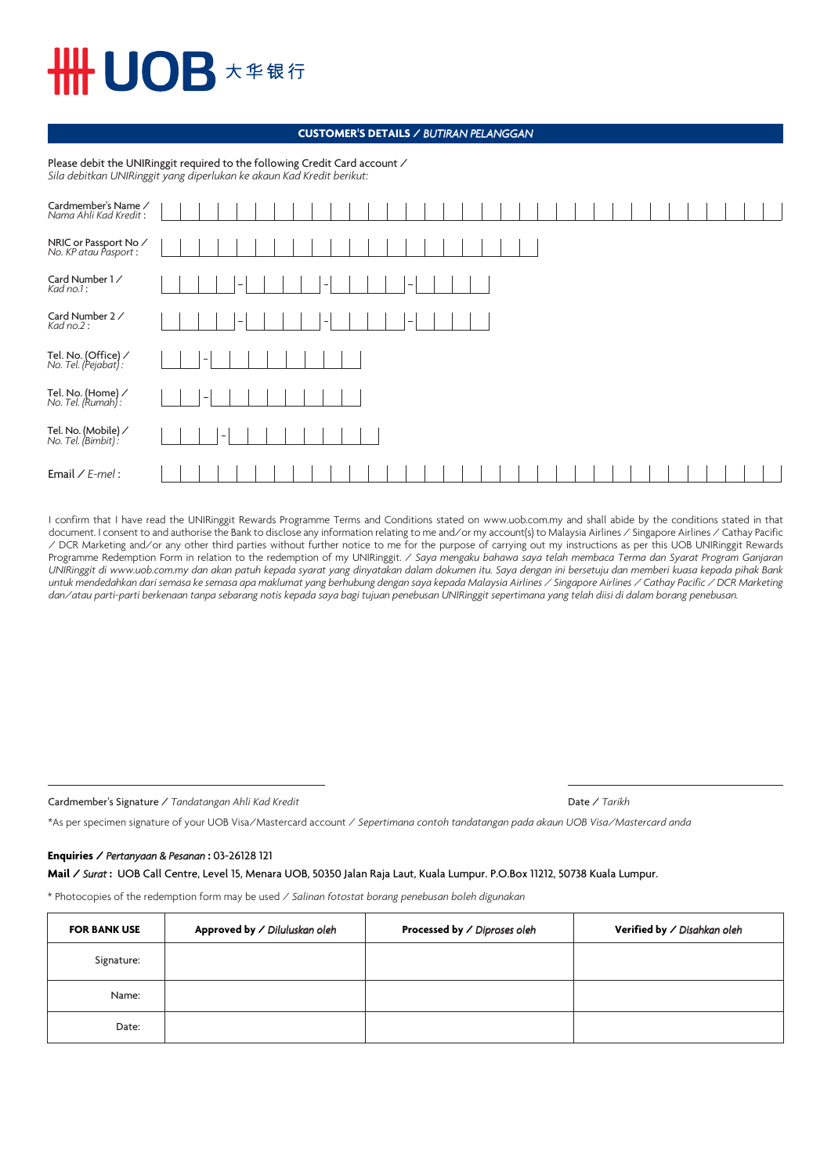# UOB 大华银行

#### **CUSTOMER'S DETAILS /** *BUTIRAN PELANGGAN*

Please debit the UNIRinggit required to the following Credit Card account / *Sila debitkan UNIRinggit yang diperlukan ke akaun Kad Kredit berikut:*

| Cardmember's Name /<br>Nama Ahli Kad Kredit:   |             |
|------------------------------------------------|-------------|
| NRIC or Passport No /<br>No. KP atau Pasport : |             |
| Card Number 1 /<br>Kad no.1:                   | -<br>-<br>- |
| Card Number 2 /<br>Kad no.2:                   |             |
| Tel. No. (Office) /<br>No. Tel. (Pejabat) :    |             |
| Tel. No. (Home) /<br>No. Tel. (Rumah) :        |             |
| Tel. No. (Mobile) /<br>No. Tel. (Bimbit) :     |             |
| Email $\angle$ E-mel:                          |             |

I confirm that I have read the UNIRinggit Rewards Programme Terms and Conditions stated on www.uob.com.my and shall abide by the conditions stated in that document. I consent to and authorise the Bank to disclose any information relating to me and/or my account(s) to Malaysia Airlines / Singapore Airlines / Cathay Pacific / DCR Marketing and/or any other third parties without further notice to me for the purpose of carrying out my instructions as per this UOB UNIRinggit Rewards Programme Redemption Form in relation to the redemption of my UNIRinggit. / *Saya mengaku bahawa saya telah membaca Terma dan Syarat Program Ganjaran UNIRinggit di www.uob.com.my dan akan patuh kepada syarat yang dinyatakan dalam dokumen itu. Saya dengan ini bersetuju dan memberi kuasa kepada pihak Bank untuk mendedahkan dari semasa ke semasa apa maklumat yang berhubung dengan saya kepada Malaysia Airlines / Singapore Airlines / Cathay Pacific / DCR Marketing dan/atau parti-parti berkenaan tanpa sebarang notis kepada saya bagi tujuan penebusan UNIRinggit sepertimana yang telah diisi di dalam borang penebusan.*

Cardmember's Signature / *Tandatangan Ahli Kad Kredit* 

| Date / Tarikh |  |
|---------------|--|
|---------------|--|

\*As per specimen signature of your UOB Visa/Mastercard account / *Sepertimana contoh tandatangan pada akaun UOB Visa/Mastercard anda*

#### **Enquiries /** *Pertanyaan & Pesanan* **:** 03-26128 121

**Mail /** *Surat* **:** UOB Call Centre, Level 15, Menara UOB, 50350 Jalan Raja Laut, Kuala Lumpur. P.O.Box 11212, 50738 Kuala Lumpur.

\* Photocopies of the redemption form may be used / *Salinan fotostat borang penebusan boleh digunakan*

| <b>FOR BANK USE</b> | Approved by / Diluluskan oleh | Processed by / Diproses oleh | Verified by / Disahkan oleh |
|---------------------|-------------------------------|------------------------------|-----------------------------|
| Signature:          |                               |                              |                             |
| Name:               |                               |                              |                             |
| Date:               |                               |                              |                             |